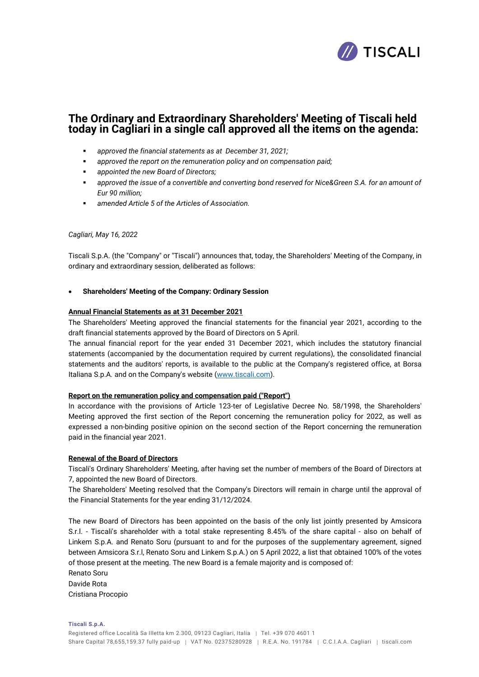

# **The Ordinary and Extraordinary Shareholders' Meeting of Tiscali held today in Cagliari in a single call approved all the items on the agenda:**

- *approved the financial statements as at December 31, 2021;*
- *approved the report on the remuneration policy and on compensation paid;*
- *appointed the new Board of Directors;*
- *approved the issue of a convertible and converting bond reserved for Nice&Green S.A. for an amount of Eur 90 million;*
- *amended Article 5 of the Articles of Association.*

## *Cagliari, May 16, 2022*

Tiscali S.p.A. (the "Company" or "Tiscali") announces that, today, the Shareholders' Meeting of the Company, in ordinary and extraordinary session, deliberated as follows:

### • **Shareholders' Meeting of the Company: Ordinary Session**

## **Annual Financial Statements as at 31 December 2021**

The Shareholders' Meeting approved the financial statements for the financial year 2021, according to the draft financial statements approved by the Board of Directors on 5 April.

The annual financial report for the year ended 31 December 2021, which includes the statutory financial statements (accompanied by the documentation required by current regulations), the consolidated financial statements and the auditors' reports, is available to the public at the Company's registered office, at Borsa Italiana S.p.A. and on the Company's website [\(www.tiscali.com\)](http://www.tiscali.com/).

### **Report on the remuneration policy and compensation paid ("Report")**

In accordance with the provisions of Article 123-ter of Legislative Decree No. 58/1998, the Shareholders' Meeting approved the first section of the Report concerning the remuneration policy for 2022, as well as expressed a non-binding positive opinion on the second section of the Report concerning the remuneration paid in the financial year 2021.

### **Renewal of the Board of Directors**

Tiscali's Ordinary Shareholders' Meeting, after having set the number of members of the Board of Directors at 7, appointed the new Board of Directors.

The Shareholders' Meeting resolved that the Company's Directors will remain in charge until the approval of the Financial Statements for the year ending 31/12/2024.

The new Board of Directors has been appointed on the basis of the only list jointly presented by Amsicora S.r.l. - Tiscali's shareholder with a total stake representing 8.45% of the share capital - also on behalf of Linkem S.p.A. and Renato Soru (pursuant to and for the purposes of the supplementary agreement, signed between Amsicora S.r.l, Renato Soru and Linkem S.p.A.) on 5 April 2022, a list that obtained 100% of the votes of those present at the meeting. The new Board is a female majority and is composed of: Renato Soru

Davide Rota Cristiana Procopio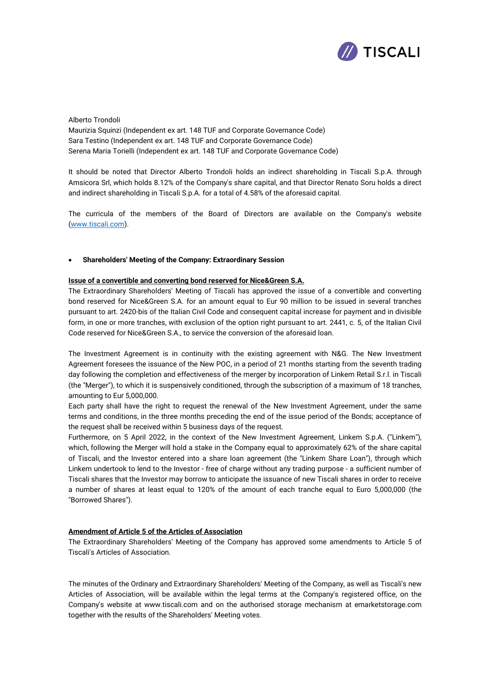

Alberto Trondoli

Maurizia Squinzi (Independent ex art. 148 TUF and Corporate Governance Code) Sara Testino (Independent ex art. 148 TUF and Corporate Governance Code) Serena Maria Torielli (Independent ex art. 148 TUF and Corporate Governance Code)

It should be noted that Director Alberto Trondoli holds an indirect shareholding in Tiscali S.p.A. through Amsicora Srl, which holds 8.12% of the Company's share capital, and that Director Renato Soru holds a direct and indirect shareholding in Tiscali S.p.A. for a total of 4.58% of the aforesaid capital.

The curricula of the members of the Board of Directors are available on the Company's website [\(www.tiscali.com\)](http://www.tiscali.com/).

## • **Shareholders' Meeting of the Company: Extraordinary Session**

## **Issue of a convertible and converting bond reserved for Nice&Green S.A.**

The Extraordinary Shareholders' Meeting of Tiscali has approved the issue of a convertible and converting bond reserved for Nice&Green S.A. for an amount equal to Eur 90 million to be issued in several tranches pursuant to art. 2420-bis of the Italian Civil Code and consequent capital increase for payment and in divisible form, in one or more tranches, with exclusion of the option right pursuant to art. 2441, c. 5, of the Italian Civil Code reserved for Nice&Green S.A., to service the conversion of the aforesaid loan.

The Investment Agreement is in continuity with the existing agreement with N&G. The New Investment Agreement foresees the issuance of the New POC, in a period of 21 months starting from the seventh trading day following the completion and effectiveness of the merger by incorporation of Linkem Retail S.r.l. in Tiscali (the "Merger"), to which it is suspensively conditioned, through the subscription of a maximum of 18 tranches, amounting to Eur 5,000,000.

Each party shall have the right to request the renewal of the New Investment Agreement, under the same terms and conditions, in the three months preceding the end of the issue period of the Bonds; acceptance of the request shall be received within 5 business days of the request.

Furthermore, on 5 April 2022, in the context of the New Investment Agreement, Linkem S.p.A. ("Linkem"), which, following the Merger will hold a stake in the Company equal to approximately 62% of the share capital of Tiscali, and the Investor entered into a share loan agreement (the "Linkem Share Loan"), through which Linkem undertook to lend to the Investor - free of charge without any trading purpose - a sufficient number of Tiscali shares that the Investor may borrow to anticipate the issuance of new Tiscali shares in order to receive a number of shares at least equal to 120% of the amount of each tranche equal to Euro 5,000,000 (the "Borrowed Shares").

## **Amendment of Article 5 of the Articles of Association**

The Extraordinary Shareholders' Meeting of the Company has approved some amendments to Article 5 of Tiscali's Articles of Association.

The minutes of the Ordinary and Extraordinary Shareholders' Meeting of the Company, as well as Tiscali's new Articles of Association, will be available within the legal terms at the Company's registered office, on the Company's website at www.tiscali.com and on the authorised storage mechanism at emarketstorage.com together with the results of the Shareholders' Meeting votes.